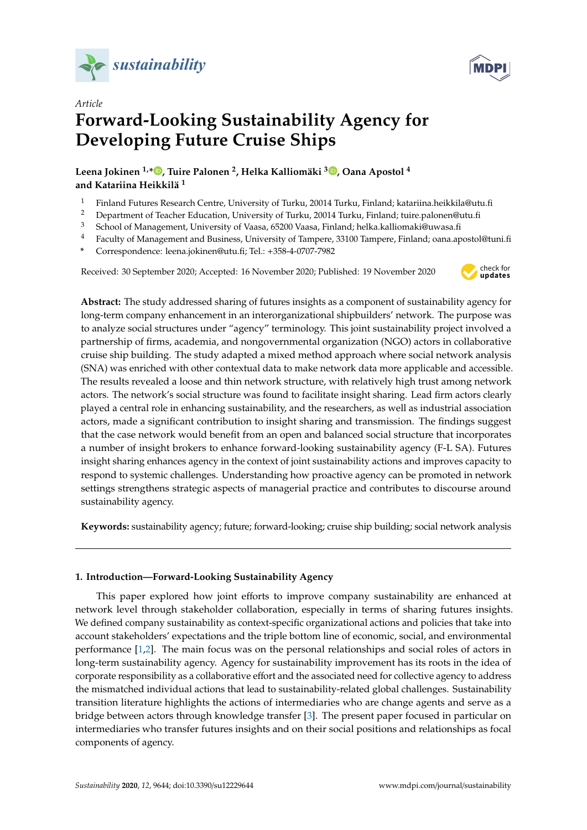



# *Article* **Forward-Looking Sustainability Agency for Developing Future Cruise Ships**

**Leena Jokinen 1,\* [,](https://orcid.org/0000-0002-1548-8833) Tuire Palonen <sup>2</sup> , Helka Kalliomäki <sup>3</sup> [,](https://orcid.org/0000-0002-7800-8892) Oana Apostol <sup>4</sup> and Katariina Heikkilä <sup>1</sup>**

- <sup>1</sup> Finland Futures Research Centre, University of Turku, 20014 Turku, Finland; katariina.heikkila@utu.fi
- <sup>2</sup> Department of Teacher Education, University of Turku, 20014 Turku, Finland; tuire.palonen@utu.fi
- <sup>3</sup> School of Management, University of Vaasa, 65200 Vaasa, Finland; helka.kalliomaki@uwasa.fi
- <sup>4</sup> Faculty of Management and Business, University of Tampere, 33100 Tampere, Finland; oana.apostol@tuni.fi
- **\*** Correspondence: leena.jokinen@utu.fi; Tel.: +358-4-0707-7982

Received: 30 September 2020; Accepted: 16 November 2020; Published: 19 November 2020



**Abstract:** The study addressed sharing of futures insights as a component of sustainability agency for long-term company enhancement in an interorganizational shipbuilders' network. The purpose was to analyze social structures under "agency" terminology. This joint sustainability project involved a partnership of firms, academia, and nongovernmental organization (NGO) actors in collaborative cruise ship building. The study adapted a mixed method approach where social network analysis (SNA) was enriched with other contextual data to make network data more applicable and accessible. The results revealed a loose and thin network structure, with relatively high trust among network actors. The network's social structure was found to facilitate insight sharing. Lead firm actors clearly played a central role in enhancing sustainability, and the researchers, as well as industrial association actors, made a significant contribution to insight sharing and transmission. The findings suggest that the case network would benefit from an open and balanced social structure that incorporates a number of insight brokers to enhance forward-looking sustainability agency (F-L SA). Futures insight sharing enhances agency in the context of joint sustainability actions and improves capacity to respond to systemic challenges. Understanding how proactive agency can be promoted in network settings strengthens strategic aspects of managerial practice and contributes to discourse around sustainability agency.

**Keywords:** sustainability agency; future; forward-looking; cruise ship building; social network analysis

## **1. Introduction—Forward-Looking Sustainability Agency**

This paper explored how joint efforts to improve company sustainability are enhanced at network level through stakeholder collaboration, especially in terms of sharing futures insights. We defined company sustainability as context-specific organizational actions and policies that take into account stakeholders' expectations and the triple bottom line of economic, social, and environmental performance [\[1,](#page-16-0)[2\]](#page-16-1). The main focus was on the personal relationships and social roles of actors in long-term sustainability agency. Agency for sustainability improvement has its roots in the idea of corporate responsibility as a collaborative effort and the associated need for collective agency to address the mismatched individual actions that lead to sustainability-related global challenges. Sustainability transition literature highlights the actions of intermediaries who are change agents and serve as a bridge between actors through knowledge transfer [\[3\]](#page-16-2). The present paper focused in particular on intermediaries who transfer futures insights and on their social positions and relationships as focal components of agency.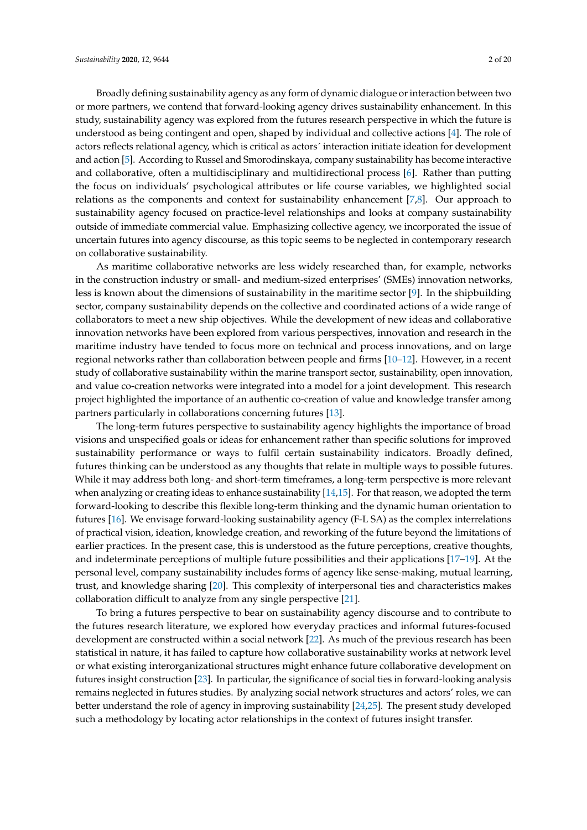Broadly defining sustainability agency as any form of dynamic dialogue or interaction between two or more partners, we contend that forward-looking agency drives sustainability enhancement. In this study, sustainability agency was explored from the futures research perspective in which the future is understood as being contingent and open, shaped by individual and collective actions [\[4\]](#page-16-3). The role of actors reflects relational agency, which is critical as actors´ interaction initiate ideation for development and action [\[5\]](#page-16-4). According to Russel and Smorodinskaya, company sustainability has become interactive and collaborative, often a multidisciplinary and multidirectional process [\[6\]](#page-16-5). Rather than putting the focus on individuals' psychological attributes or life course variables, we highlighted social relations as the components and context for sustainability enhancement [\[7,](#page-16-6)[8\]](#page-16-7). Our approach to sustainability agency focused on practice-level relationships and looks at company sustainability outside of immediate commercial value. Emphasizing collective agency, we incorporated the issue of uncertain futures into agency discourse, as this topic seems to be neglected in contemporary research on collaborative sustainability.

As maritime collaborative networks are less widely researched than, for example, networks in the construction industry or small- and medium-sized enterprises' (SMEs) innovation networks, less is known about the dimensions of sustainability in the maritime sector [\[9\]](#page-16-8). In the shipbuilding sector, company sustainability depends on the collective and coordinated actions of a wide range of collaborators to meet a new ship objectives. While the development of new ideas and collaborative innovation networks have been explored from various perspectives, innovation and research in the maritime industry have tended to focus more on technical and process innovations, and on large regional networks rather than collaboration between people and firms [\[10–](#page-16-9)[12\]](#page-16-10). However, in a recent study of collaborative sustainability within the marine transport sector, sustainability, open innovation, and value co-creation networks were integrated into a model for a joint development. This research project highlighted the importance of an authentic co-creation of value and knowledge transfer among partners particularly in collaborations concerning futures [\[13\]](#page-16-11).

The long-term futures perspective to sustainability agency highlights the importance of broad visions and unspecified goals or ideas for enhancement rather than specific solutions for improved sustainability performance or ways to fulfil certain sustainability indicators. Broadly defined, futures thinking can be understood as any thoughts that relate in multiple ways to possible futures. While it may address both long- and short-term timeframes, a long-term perspective is more relevant when analyzing or creating ideas to enhance sustainability [\[14](#page-16-12)[,15\]](#page-16-13). For that reason, we adopted the term forward-looking to describe this flexible long-term thinking and the dynamic human orientation to futures [\[16\]](#page-16-14). We envisage forward-looking sustainability agency (F-L SA) as the complex interrelations of practical vision, ideation, knowledge creation, and reworking of the future beyond the limitations of earlier practices. In the present case, this is understood as the future perceptions, creative thoughts, and indeterminate perceptions of multiple future possibilities and their applications [\[17–](#page-16-15)[19\]](#page-16-16). At the personal level, company sustainability includes forms of agency like sense-making, mutual learning, trust, and knowledge sharing [\[20\]](#page-17-0). This complexity of interpersonal ties and characteristics makes collaboration difficult to analyze from any single perspective [\[21\]](#page-17-1).

To bring a futures perspective to bear on sustainability agency discourse and to contribute to the futures research literature, we explored how everyday practices and informal futures-focused development are constructed within a social network [\[22\]](#page-17-2). As much of the previous research has been statistical in nature, it has failed to capture how collaborative sustainability works at network level or what existing interorganizational structures might enhance future collaborative development on futures insight construction [\[23\]](#page-17-3). In particular, the significance of social ties in forward-looking analysis remains neglected in futures studies. By analyzing social network structures and actors' roles, we can better understand the role of agency in improving sustainability [\[24](#page-17-4)[,25\]](#page-17-5). The present study developed such a methodology by locating actor relationships in the context of futures insight transfer.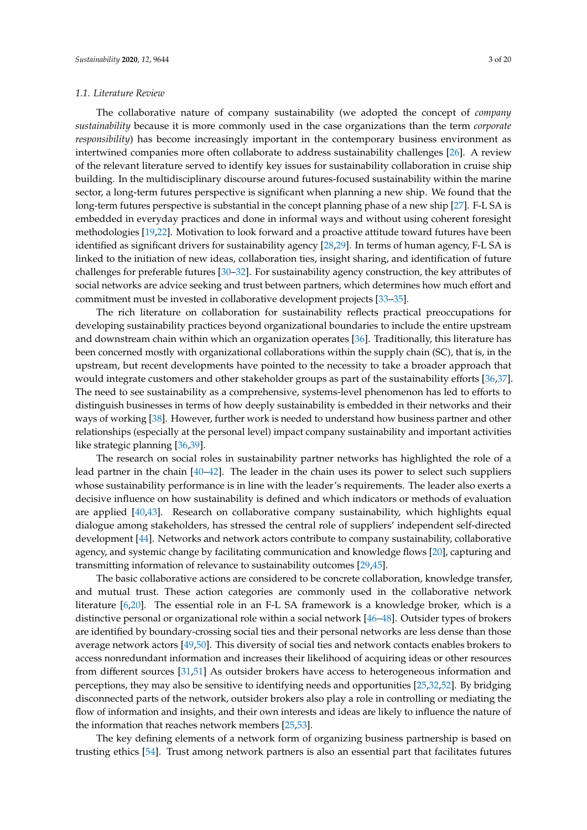### *1.1. Literature Review*

The collaborative nature of company sustainability (we adopted the concept of *company sustainability* because it is more commonly used in the case organizations than the term *corporate responsibility*) has become increasingly important in the contemporary business environment as intertwined companies more often collaborate to address sustainability challenges [\[26\]](#page-17-6). A review of the relevant literature served to identify key issues for sustainability collaboration in cruise ship building. In the multidisciplinary discourse around futures-focused sustainability within the marine sector, a long-term futures perspective is significant when planning a new ship. We found that the long-term futures perspective is substantial in the concept planning phase of a new ship [\[27\]](#page-17-7). F-L SA is embedded in everyday practices and done in informal ways and without using coherent foresight methodologies [\[19,](#page-16-16)[22\]](#page-17-2). Motivation to look forward and a proactive attitude toward futures have been identified as significant drivers for sustainability agency [\[28](#page-17-8)[,29\]](#page-17-9). In terms of human agency, F-L SA is linked to the initiation of new ideas, collaboration ties, insight sharing, and identification of future challenges for preferable futures [\[30](#page-17-10)[–32\]](#page-17-11). For sustainability agency construction, the key attributes of social networks are advice seeking and trust between partners, which determines how much effort and commitment must be invested in collaborative development projects [\[33](#page-17-12)[–35\]](#page-17-13).

The rich literature on collaboration for sustainability reflects practical preoccupations for developing sustainability practices beyond organizational boundaries to include the entire upstream and downstream chain within which an organization operates [\[36\]](#page-17-14). Traditionally, this literature has been concerned mostly with organizational collaborations within the supply chain (SC), that is, in the upstream, but recent developments have pointed to the necessity to take a broader approach that would integrate customers and other stakeholder groups as part of the sustainability efforts [\[36,](#page-17-14)[37\]](#page-17-15). The need to see sustainability as a comprehensive, systems-level phenomenon has led to efforts to distinguish businesses in terms of how deeply sustainability is embedded in their networks and their ways of working [\[38\]](#page-17-16). However, further work is needed to understand how business partner and other relationships (especially at the personal level) impact company sustainability and important activities like strategic planning [\[36](#page-17-14)[,39\]](#page-17-17).

The research on social roles in sustainability partner networks has highlighted the role of a lead partner in the chain [\[40–](#page-17-18)[42\]](#page-17-19). The leader in the chain uses its power to select such suppliers whose sustainability performance is in line with the leader's requirements. The leader also exerts a decisive influence on how sustainability is defined and which indicators or methods of evaluation are applied [\[40,](#page-17-18)[43\]](#page-17-20). Research on collaborative company sustainability, which highlights equal dialogue among stakeholders, has stressed the central role of suppliers' independent self-directed development [\[44\]](#page-17-21). Networks and network actors contribute to company sustainability, collaborative agency, and systemic change by facilitating communication and knowledge flows [\[20\]](#page-17-0), capturing and transmitting information of relevance to sustainability outcomes [\[29](#page-17-9)[,45\]](#page-18-0).

The basic collaborative actions are considered to be concrete collaboration, knowledge transfer, and mutual trust. These action categories are commonly used in the collaborative network literature [\[6,](#page-16-5)[20\]](#page-17-0). The essential role in an F-L SA framework is a knowledge broker, which is a distinctive personal or organizational role within a social network [\[46](#page-18-1)[–48\]](#page-18-2). Outsider types of brokers are identified by boundary-crossing social ties and their personal networks are less dense than those average network actors [\[49,](#page-18-3)[50\]](#page-18-4). This diversity of social ties and network contacts enables brokers to access nonredundant information and increases their likelihood of acquiring ideas or other resources from different sources [\[31,](#page-17-22)[51\]](#page-18-5) As outsider brokers have access to heterogeneous information and perceptions, they may also be sensitive to identifying needs and opportunities [\[25,](#page-17-5)[32,](#page-17-11)[52\]](#page-18-6). By bridging disconnected parts of the network, outsider brokers also play a role in controlling or mediating the flow of information and insights, and their own interests and ideas are likely to influence the nature of the information that reaches network members [\[25](#page-17-5)[,53\]](#page-18-7).

The key defining elements of a network form of organizing business partnership is based on trusting ethics [\[54\]](#page-18-8). Trust among network partners is also an essential part that facilitates futures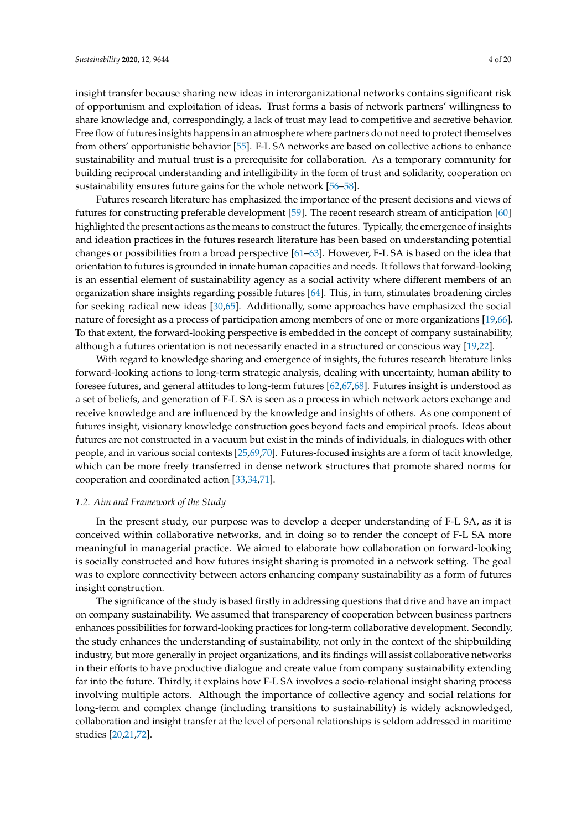insight transfer because sharing new ideas in interorganizational networks contains significant risk of opportunism and exploitation of ideas. Trust forms a basis of network partners' willingness to share knowledge and, correspondingly, a lack of trust may lead to competitive and secretive behavior. Free flow of futures insights happens in an atmosphere where partners do not need to protect themselves from others' opportunistic behavior [\[55\]](#page-18-9). F-L SA networks are based on collective actions to enhance sustainability and mutual trust is a prerequisite for collaboration. As a temporary community for building reciprocal understanding and intelligibility in the form of trust and solidarity, cooperation on sustainability ensures future gains for the whole network [\[56–](#page-18-10)[58\]](#page-18-11).

Futures research literature has emphasized the importance of the present decisions and views of futures for constructing preferable development [\[59\]](#page-18-12). The recent research stream of anticipation [\[60\]](#page-18-13) highlighted the present actions as the means to construct the futures. Typically, the emergence of insights and ideation practices in the futures research literature has been based on understanding potential changes or possibilities from a broad perspective [\[61–](#page-18-14)[63\]](#page-18-15). However, F-L SA is based on the idea that orientation to futures is grounded in innate human capacities and needs. It follows that forward-looking is an essential element of sustainability agency as a social activity where different members of an organization share insights regarding possible futures [\[64\]](#page-18-16). This, in turn, stimulates broadening circles for seeking radical new ideas [\[30](#page-17-10)[,65\]](#page-18-17). Additionally, some approaches have emphasized the social nature of foresight as a process of participation among members of one or more organizations [\[19](#page-16-16)[,66\]](#page-18-18). To that extent, the forward-looking perspective is embedded in the concept of company sustainability, although a futures orientation is not necessarily enacted in a structured or conscious way [\[19,](#page-16-16)[22\]](#page-17-2).

With regard to knowledge sharing and emergence of insights, the futures research literature links forward-looking actions to long-term strategic analysis, dealing with uncertainty, human ability to foresee futures, and general attitudes to long-term futures [\[62,](#page-18-19)[67](#page-18-20)[,68\]](#page-18-21). Futures insight is understood as a set of beliefs, and generation of F-L SA is seen as a process in which network actors exchange and receive knowledge and are influenced by the knowledge and insights of others. As one component of futures insight, visionary knowledge construction goes beyond facts and empirical proofs. Ideas about futures are not constructed in a vacuum but exist in the minds of individuals, in dialogues with other people, and in various social contexts [\[25,](#page-17-5)[69,](#page-18-22)[70\]](#page-18-23). Futures-focused insights are a form of tacit knowledge, which can be more freely transferred in dense network structures that promote shared norms for cooperation and coordinated action [\[33,](#page-17-12)[34,](#page-17-23)[71\]](#page-18-24).

## *1.2. Aim and Framework of the Study*

In the present study, our purpose was to develop a deeper understanding of F-L SA, as it is conceived within collaborative networks, and in doing so to render the concept of F-L SA more meaningful in managerial practice. We aimed to elaborate how collaboration on forward-looking is socially constructed and how futures insight sharing is promoted in a network setting. The goal was to explore connectivity between actors enhancing company sustainability as a form of futures insight construction.

The significance of the study is based firstly in addressing questions that drive and have an impact on company sustainability. We assumed that transparency of cooperation between business partners enhances possibilities for forward-looking practices for long-term collaborative development. Secondly, the study enhances the understanding of sustainability, not only in the context of the shipbuilding industry, but more generally in project organizations, and its findings will assist collaborative networks in their efforts to have productive dialogue and create value from company sustainability extending far into the future. Thirdly, it explains how F-L SA involves a socio-relational insight sharing process involving multiple actors. Although the importance of collective agency and social relations for long-term and complex change (including transitions to sustainability) is widely acknowledged, collaboration and insight transfer at the level of personal relationships is seldom addressed in maritime studies [\[20](#page-17-0)[,21,](#page-17-1)[72\]](#page-18-25).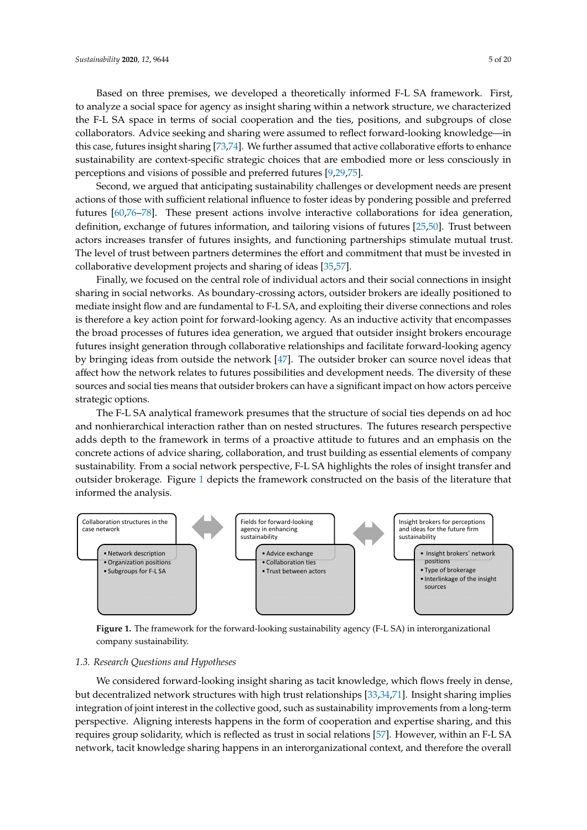Based on three premises, we developed a theoretically informed F-L SA framework. First, to analyze a social space for agency as insight sharing within a network structure, we characterized the F-L SA space in terms of social cooperation and the ties, positions, and subgroups of close collaborators. Advice seeking and sharing were assumed to reflect forward-looking knowledge—in this case, futures insight sharing  $[73,74]$  $[73,74]$ . We further assumed that active collaborative efforts to enhance sustainability are context-specific strategic choices that are embodied more or less consciously in perceptions and visions of possible and preferred futures [\[9](#page-16-8)[,29](#page-17-9)[,75\]](#page-19-1). actions of the sufficient relations of the sufficient  $\epsilon$  is the foster influence to foster in  $\epsilon$  is possible and  $\epsilon$  is possible and possible and possible and  $\epsilon$  is the foster in  $\epsilon$  is a possible and possible and

Second, we argued that anticipating sustainability challenges or development needs are present Second, we argued that anticipating sustainability challenges or development needs are present actions of those with sufficient relational influence to foster ideas by pondering possible and preferred futures  $[60,76-78]$  $[60,76-78]$  $[60,76-78]$ . These present actions involve interactive collaborations for idea generation, definition, exchange of futures information, and tailoring visions of futures [\[25,](#page-17-5)[50\]](#page-18-4). Trust between partners determines the effort and commitment that must be invested that must be invested to the effort and commitment of actors increases transfer of futures insights, and functioning partnerships stimulate mutual trust. The level of trust between partners determines the effort and commitment that must be invested in collaborative development projects and sharing of ideas [\[35](#page-17-13)[,57\]](#page-18-27). share several networks. As boundary crossing actors, outside a communication and mass  $\epsilon$  interested in

Finally, we focused on the central role of individual actors and their social connections in insight Finally, we focused on the central role of individual actors and their social connections in insight rating, we received on the central role of marviolatic actors and their boundary-change.<br>
Sharing in social networks. As boundary-crossing actors, outsider brokers are ideally positioned to ending in social networks. The broad arty crossing deterity parties are funding positioned to mediate insight flow and are fundamental to F-L SA, and exploiting their diverse connections and roles ncellate margin from and are randamental to 1 E 3.1, and expressing their arreste established and forestionships and forces the broad processes of futures idea generation, we argued that outsider insight brokers encourage the broad processes of futures idea generation, we argued that outsider insight brokers encourage Interface processes of ratures taca generation, we afgace that causact misgin stokens encourage<br>futures insight generation through collaborative relationships and facilitate forward-looking agency Induces meaging generation unough conditionally chanced single and nethiate forward footing agency<br>by bringing ideas from outside the network [\[47\]](#page-18-28). The outsider broker can source novel ideas that by bringing reception behavior that it is network [15]. The behavior boxer can board nover recepting the diversity of these Sources and social ties means that outsider brokers can have a significant impact on how actors perceive strategic options. and non-hierarchical interaction rather than on nested structures respectively. The futures research perspective

The F-L SA analytical framework presumes that the structure of social ties depends on ad hoc and nonhierarchical interaction rather than on nested structures. The futures research perspective and nonhierarchical interaction rather than on nested structures. The futures research perspective and nonnerarchied interaction rather than on nested structures. The ratures research perspective adds depth to the framework in terms of a proactive attitude to futures and an emphasis on the addes deput to the Hamework in terms of a prodective annuale to ratures and an emphasis on the concrete actions of advice sharing, collaboration, and trust building as essential elements of company sustainability. From a social network perspective, F-L SA highlights the roles of insight transfer and sustainability. From a social network perspective, F-L SA highlights the roles of insight transfer and outsider brokerage. Figure [1](#page-4-0) depicts the framework constructed on the basis of the literature that informed the analysis.

<span id="page-4-0"></span>

**Figure 1.** The framework for the forward-looking sustainability agency (F-L SA) in interorganizational company sustainability.

# **Figure 1.** The framework for the forward‐looking sustainability agency (F‐L SA) in *1.3. Research Questions and Hypotheses*

We considered forward-looking insight sharing as tacit knowledge, which flows freely in dense, integration of joint interest in the collective good, such as sustainability improvements from a long-term perspective. Aligning interests happens in the form of cooperation and expertise sharing, and this requires group solidarity, which is reflected as trust in social relations [57]. However, within an F-L SA network, tacit knowledge sharing happens in an interorganizational context, and therefore the overall but decentralized network structures with high trust relationships [\[33](#page-17-12)[,34](#page-17-23)[,71\]](#page-18-24). Insight sharing implies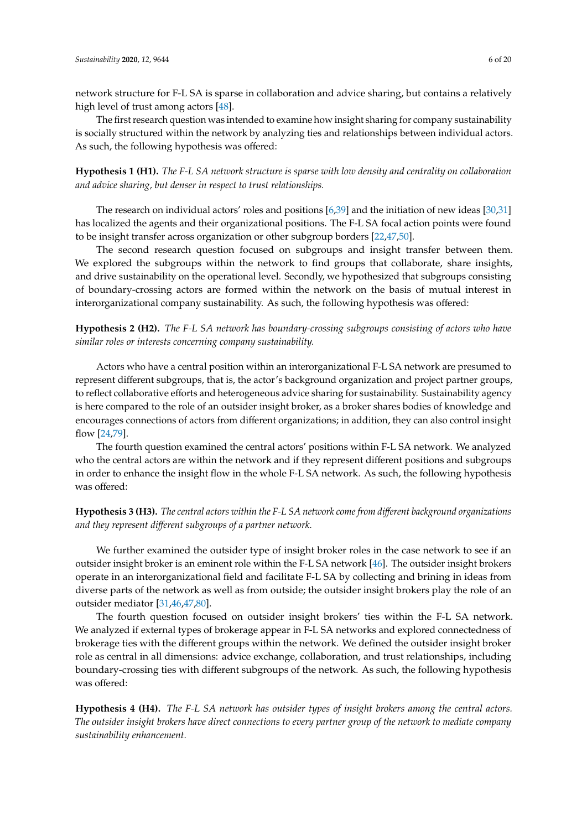network structure for F-L SA is sparse in collaboration and advice sharing, but contains a relatively high level of trust among actors [\[48\]](#page-18-2).

The first research question was intended to examine how insight sharing for company sustainability is socially structured within the network by analyzing ties and relationships between individual actors. As such, the following hypothesis was offered:

**Hypothesis 1 (H1).** *The F-L SA network structure is sparse with low density and centrality on collaboration and advice sharing, but denser in respect to trust relationships.*

The research on individual actors' roles and positions [\[6,](#page-16-5)[39\]](#page-17-17) and the initiation of new ideas [\[30,](#page-17-10)[31\]](#page-17-22) has localized the agents and their organizational positions. The F-L SA focal action points were found to be insight transfer across organization or other subgroup borders [\[22](#page-17-2)[,47](#page-18-28)[,50\]](#page-18-4).

The second research question focused on subgroups and insight transfer between them. We explored the subgroups within the network to find groups that collaborate, share insights, and drive sustainability on the operational level. Secondly, we hypothesized that subgroups consisting of boundary-crossing actors are formed within the network on the basis of mutual interest in interorganizational company sustainability. As such, the following hypothesis was offered:

**Hypothesis 2 (H2).** *The F-L SA network has boundary-crossing subgroups consisting of actors who have similar roles or interests concerning company sustainability.*

Actors who have a central position within an interorganizational F-L SA network are presumed to represent different subgroups, that is, the actor's background organization and project partner groups, to reflect collaborative efforts and heterogeneous advice sharing for sustainability. Sustainability agency is here compared to the role of an outsider insight broker, as a broker shares bodies of knowledge and encourages connections of actors from different organizations; in addition, they can also control insight flow [\[24,](#page-17-4)[79\]](#page-19-4).

The fourth question examined the central actors' positions within F-L SA network. We analyzed who the central actors are within the network and if they represent different positions and subgroups in order to enhance the insight flow in the whole F-L SA network. As such, the following hypothesis was offered:

**Hypothesis 3 (H3).** *The central actors within the F-L SA network come from di*ff*erent background organizations and they represent di*ff*erent subgroups of a partner network.*

We further examined the outsider type of insight broker roles in the case network to see if an outsider insight broker is an eminent role within the F-L SA network [\[46\]](#page-18-1). The outsider insight brokers operate in an interorganizational field and facilitate F-L SA by collecting and brining in ideas from diverse parts of the network as well as from outside; the outsider insight brokers play the role of an outsider mediator [\[31,](#page-17-22)[46,](#page-18-1)[47](#page-18-28)[,80\]](#page-19-5).

The fourth question focused on outsider insight brokers' ties within the F-L SA network. We analyzed if external types of brokerage appear in F-L SA networks and explored connectedness of brokerage ties with the different groups within the network. We defined the outsider insight broker role as central in all dimensions: advice exchange, collaboration, and trust relationships, including boundary-crossing ties with different subgroups of the network. As such, the following hypothesis was offered:

**Hypothesis 4 (H4).** *The F-L SA network has outsider types of insight brokers among the central actors. The outsider insight brokers have direct connections to every partner group of the network to mediate company sustainability enhancement.*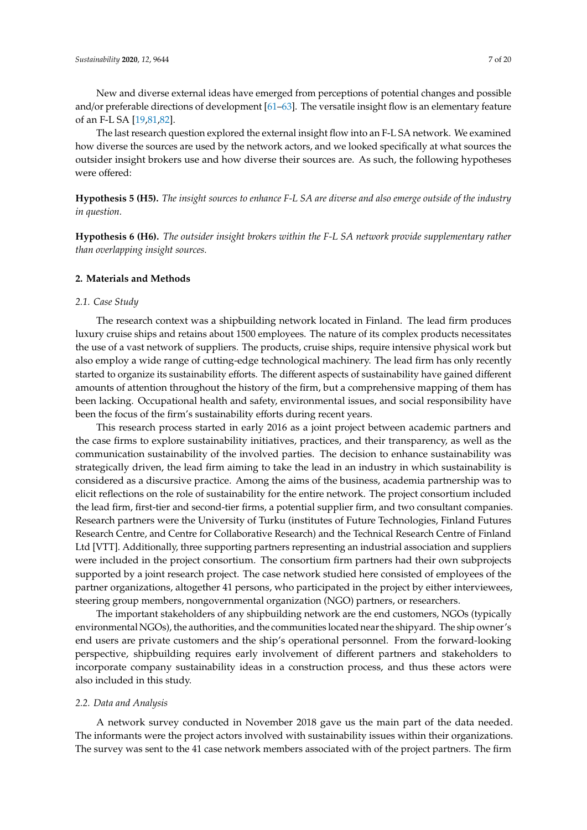New and diverse external ideas have emerged from perceptions of potential changes and possible and/or preferable directions of development [\[61](#page-18-14)[–63\]](#page-18-15). The versatile insight flow is an elementary feature of an F-L SA [\[19,](#page-16-16)[81,](#page-19-6)[82\]](#page-19-7).

The last research question explored the external insight flow into an F-L SA network. We examined how diverse the sources are used by the network actors, and we looked specifically at what sources the outsider insight brokers use and how diverse their sources are. As such, the following hypotheses were offered:

**Hypothesis 5 (H5).** *The insight sources to enhance F-L SA are diverse and also emerge outside of the industry in question.*

**Hypothesis 6 (H6).** *The outsider insight brokers within the F-L SA network provide supplementary rather than overlapping insight sources.*

### **2. Materials and Methods**

### *2.1. Case Study*

The research context was a shipbuilding network located in Finland. The lead firm produces luxury cruise ships and retains about 1500 employees. The nature of its complex products necessitates the use of a vast network of suppliers. The products, cruise ships, require intensive physical work but also employ a wide range of cutting-edge technological machinery. The lead firm has only recently started to organize its sustainability efforts. The different aspects of sustainability have gained different amounts of attention throughout the history of the firm, but a comprehensive mapping of them has been lacking. Occupational health and safety, environmental issues, and social responsibility have been the focus of the firm's sustainability efforts during recent years.

This research process started in early 2016 as a joint project between academic partners and the case firms to explore sustainability initiatives, practices, and their transparency, as well as the communication sustainability of the involved parties. The decision to enhance sustainability was strategically driven, the lead firm aiming to take the lead in an industry in which sustainability is considered as a discursive practice. Among the aims of the business, academia partnership was to elicit reflections on the role of sustainability for the entire network. The project consortium included the lead firm, first-tier and second-tier firms, a potential supplier firm, and two consultant companies. Research partners were the University of Turku (institutes of Future Technologies, Finland Futures Research Centre, and Centre for Collaborative Research) and the Technical Research Centre of Finland Ltd [VTT]. Additionally, three supporting partners representing an industrial association and suppliers were included in the project consortium. The consortium firm partners had their own subprojects supported by a joint research project. The case network studied here consisted of employees of the partner organizations, altogether 41 persons, who participated in the project by either interviewees, steering group members, nongovernmental organization (NGO) partners, or researchers.

The important stakeholders of any shipbuilding network are the end customers, NGOs (typically environmental NGOs), the authorities, and the communities located near the shipyard. The ship owner's end users are private customers and the ship's operational personnel. From the forward-looking perspective, shipbuilding requires early involvement of different partners and stakeholders to incorporate company sustainability ideas in a construction process, and thus these actors were also included in this study.

#### *2.2. Data and Analysis*

A network survey conducted in November 2018 gave us the main part of the data needed. The informants were the project actors involved with sustainability issues within their organizations. The survey was sent to the 41 case network members associated with of the project partners. The firm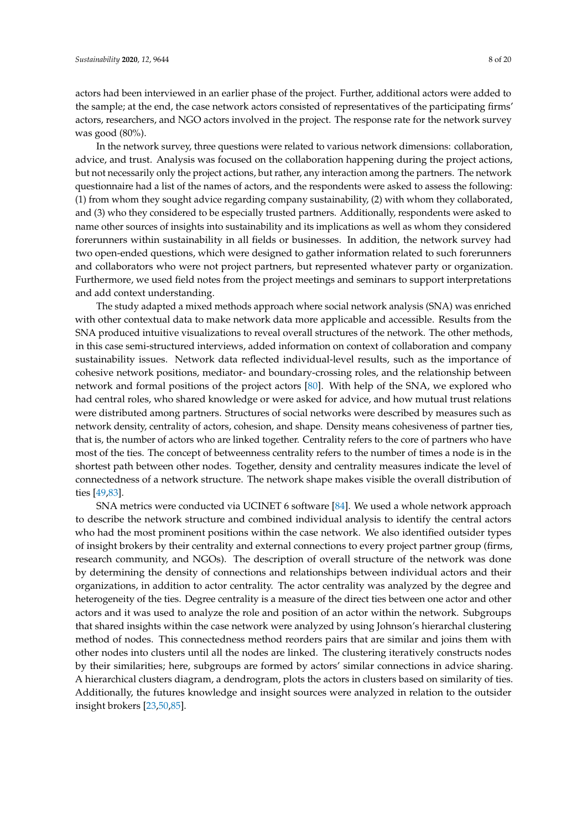actors had been interviewed in an earlier phase of the project. Further, additional actors were added to the sample; at the end, the case network actors consisted of representatives of the participating firms' actors, researchers, and NGO actors involved in the project. The response rate for the network survey was good (80%).

In the network survey, three questions were related to various network dimensions: collaboration, advice, and trust. Analysis was focused on the collaboration happening during the project actions, but not necessarily only the project actions, but rather, any interaction among the partners. The network questionnaire had a list of the names of actors, and the respondents were asked to assess the following: (1) from whom they sought advice regarding company sustainability, (2) with whom they collaborated, and (3) who they considered to be especially trusted partners. Additionally, respondents were asked to name other sources of insights into sustainability and its implications as well as whom they considered forerunners within sustainability in all fields or businesses. In addition, the network survey had two open-ended questions, which were designed to gather information related to such forerunners and collaborators who were not project partners, but represented whatever party or organization. Furthermore, we used field notes from the project meetings and seminars to support interpretations and add context understanding.

The study adapted a mixed methods approach where social network analysis (SNA) was enriched with other contextual data to make network data more applicable and accessible. Results from the SNA produced intuitive visualizations to reveal overall structures of the network. The other methods, in this case semi-structured interviews, added information on context of collaboration and company sustainability issues. Network data reflected individual-level results, such as the importance of cohesive network positions, mediator- and boundary-crossing roles, and the relationship between network and formal positions of the project actors [\[80\]](#page-19-5). With help of the SNA, we explored who had central roles, who shared knowledge or were asked for advice, and how mutual trust relations were distributed among partners. Structures of social networks were described by measures such as network density, centrality of actors, cohesion, and shape. Density means cohesiveness of partner ties, that is, the number of actors who are linked together. Centrality refers to the core of partners who have most of the ties. The concept of betweenness centrality refers to the number of times a node is in the shortest path between other nodes. Together, density and centrality measures indicate the level of connectedness of a network structure. The network shape makes visible the overall distribution of ties [\[49](#page-18-3)[,83\]](#page-19-8).

SNA metrics were conducted via UCINET 6 software [\[84\]](#page-19-9). We used a whole network approach to describe the network structure and combined individual analysis to identify the central actors who had the most prominent positions within the case network. We also identified outsider types of insight brokers by their centrality and external connections to every project partner group (firms, research community, and NGOs). The description of overall structure of the network was done by determining the density of connections and relationships between individual actors and their organizations, in addition to actor centrality. The actor centrality was analyzed by the degree and heterogeneity of the ties. Degree centrality is a measure of the direct ties between one actor and other actors and it was used to analyze the role and position of an actor within the network. Subgroups that shared insights within the case network were analyzed by using Johnson's hierarchal clustering method of nodes. This connectedness method reorders pairs that are similar and joins them with other nodes into clusters until all the nodes are linked. The clustering iteratively constructs nodes by their similarities; here, subgroups are formed by actors' similar connections in advice sharing. A hierarchical clusters diagram, a dendrogram, plots the actors in clusters based on similarity of ties. Additionally, the futures knowledge and insight sources were analyzed in relation to the outsider insight brokers [\[23](#page-17-3)[,50](#page-18-4)[,85\]](#page-19-10).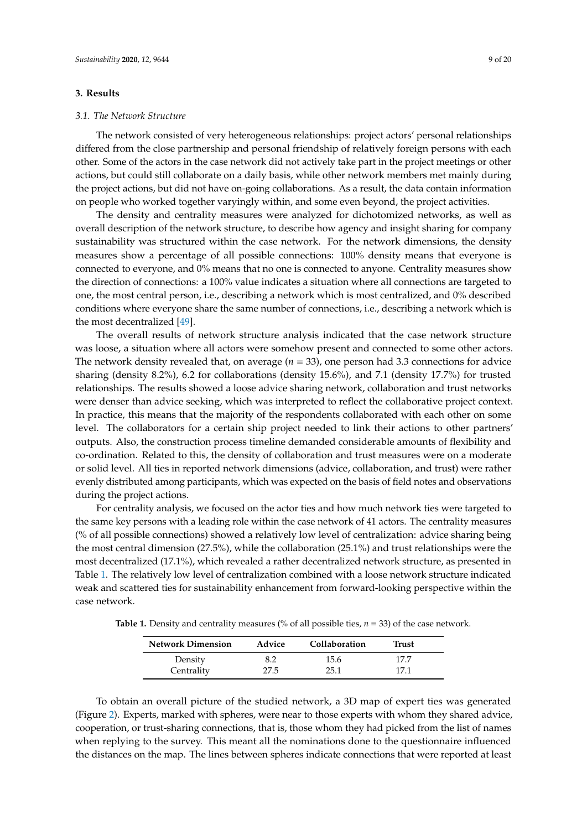## **3. Results**

#### *3.1. The Network Structure*

The network consisted of very heterogeneous relationships: project actors' personal relationships differed from the close partnership and personal friendship of relatively foreign persons with each other. Some of the actors in the case network did not actively take part in the project meetings or other actions, but could still collaborate on a daily basis, while other network members met mainly during the project actions, but did not have on-going collaborations. As a result, the data contain information on people who worked together varyingly within, and some even beyond, the project activities.

The density and centrality measures were analyzed for dichotomized networks, as well as overall description of the network structure, to describe how agency and insight sharing for company sustainability was structured within the case network. For the network dimensions, the density measures show a percentage of all possible connections: 100% density means that everyone is connected to everyone, and 0% means that no one is connected to anyone. Centrality measures show the direction of connections: a 100% value indicates a situation where all connections are targeted to one, the most central person, i.e., describing a network which is most centralized, and 0% described conditions where everyone share the same number of connections, i.e., describing a network which is the most decentralized [\[49\]](#page-18-3).

The overall results of network structure analysis indicated that the case network structure was loose, a situation where all actors were somehow present and connected to some other actors. The network density revealed that, on average  $(n = 33)$ , one person had 3.3 connections for advice sharing (density 8.2%), 6.2 for collaborations (density 15.6%), and 7.1 (density 17.7%) for trusted relationships. The results showed a loose advice sharing network, collaboration and trust networks were denser than advice seeking, which was interpreted to reflect the collaborative project context. In practice, this means that the majority of the respondents collaborated with each other on some level. The collaborators for a certain ship project needed to link their actions to other partners' outputs. Also, the construction process timeline demanded considerable amounts of flexibility and co-ordination. Related to this, the density of collaboration and trust measures were on a moderate or solid level. All ties in reported network dimensions (advice, collaboration, and trust) were rather evenly distributed among participants, which was expected on the basis of field notes and observations during the project actions.

For centrality analysis, we focused on the actor ties and how much network ties were targeted to the same key persons with a leading role within the case network of 41 actors. The centrality measures (% of all possible connections) showed a relatively low level of centralization: advice sharing being the most central dimension (27.5%), while the collaboration (25.1%) and trust relationships were the most decentralized (17.1%), which revealed a rather decentralized network structure, as presented in Table [1.](#page-8-0) The relatively low level of centralization combined with a loose network structure indicated weak and scattered ties for sustainability enhancement from forward-looking perspective within the case network.

<span id="page-8-0"></span>

|  |  |  |  |  |  | <b>Table 1.</b> Density and centrality measures (% of all possible ties, $n = 33$ ) of the case network. |  |  |  |  |  |  |  |
|--|--|--|--|--|--|----------------------------------------------------------------------------------------------------------|--|--|--|--|--|--|--|
|--|--|--|--|--|--|----------------------------------------------------------------------------------------------------------|--|--|--|--|--|--|--|

| <b>Network Dimension</b> | Advice | Collaboration | <b>Trust</b> |
|--------------------------|--------|---------------|--------------|
| Density                  | 8.2    | 15.6          | 177          |
| Centrality               | 27.5   | 25.1          | 17 1         |

To obtain an overall picture of the studied network, a 3D map of expert ties was generated (Figure [2\)](#page-9-0). Experts, marked with spheres, were near to those experts with whom they shared advice, cooperation, or trust-sharing connections, that is, those whom they had picked from the list of names when replying to the survey. This meant all the nominations done to the questionnaire influenced the distances on the map. The lines between spheres indicate connections that were reported at least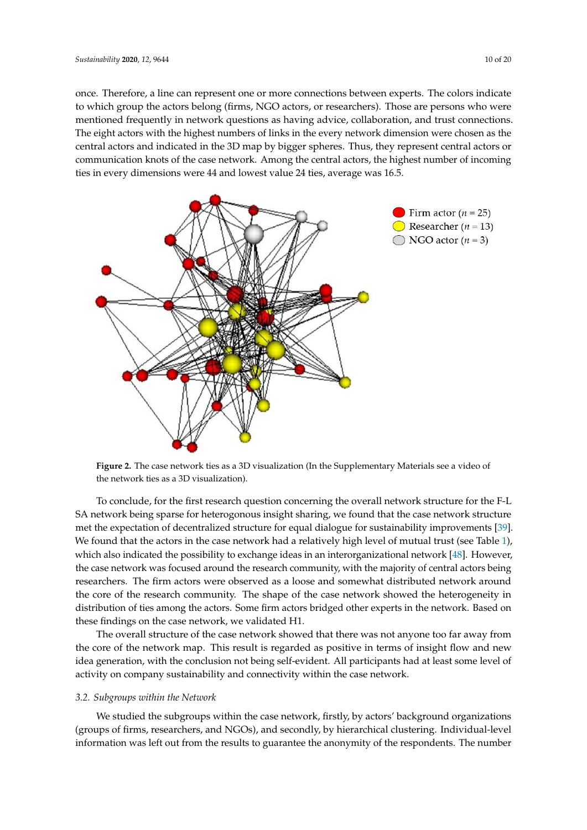once. Therefore, a line can represent one or more connections between experts. The colors indicate to which group the actors belong (firms, NGO actors, or researchers). Those are persons who were mentioned frequently in network questions as having advice, collaboration, and trust connections.<br><del>T</del> The eight actors with the highest numbers of links in the every network dimension were chosen as the central actors and indicated in the 3D map by bigger spheres. Thus, they represent central actors or communication knots of the case network. Among the central actors, the highest number of incoming ties in every dimensions were 44 and lowest value 24 ties, average was 16.5.

<span id="page-9-0"></span>

the network ties as a 3D visualization). **Figure 2.** The case network ties as a 3D visualization (In the Supplementary Materials see a video of

SA network being sparse for heterogonous insight sharing, we found that the case network structure met the expectation of decentralized stru[ctur](#page-17-17)e for equal dialogue for sustainability improvements [39]. We found that the actors in the case network had a relatively high level of mutual trust (see Table 1), which also indicated the possibility to exchange ideas in an interorganizational network [ $48$ ]. However, the case network was focused around the research community, with the majority of central actors being researchers. The firm actors were observed as a loose and somewhat distributed network around the core of the research community. The shape of the case network showed the heterogeneity in distribution of ties among the actors. Some firm actors bridged other experts in the network. Based on these findings on the case network, we validated H1. To conclude, for the first research question concerning the overall network structure for the F-L

The overall structure of the case network showed that there was not anyone too far away from the core of the network map. This result is regarded as positive in terms of insight flow and new idea generation, with the conclusion not being self-evident. All participants had at least some level of activity on company sustainability and connectivity within the case network.

# *3.2. Subgroups within the Network*

We studied the subgroups within the case network, firstly, by actors' background organizations (groups of firms, researchers, and NGOs), and secondly, by hierarchical clustering. Individual-level information was left out from the results to guarantee the anonymity of the respondents. The number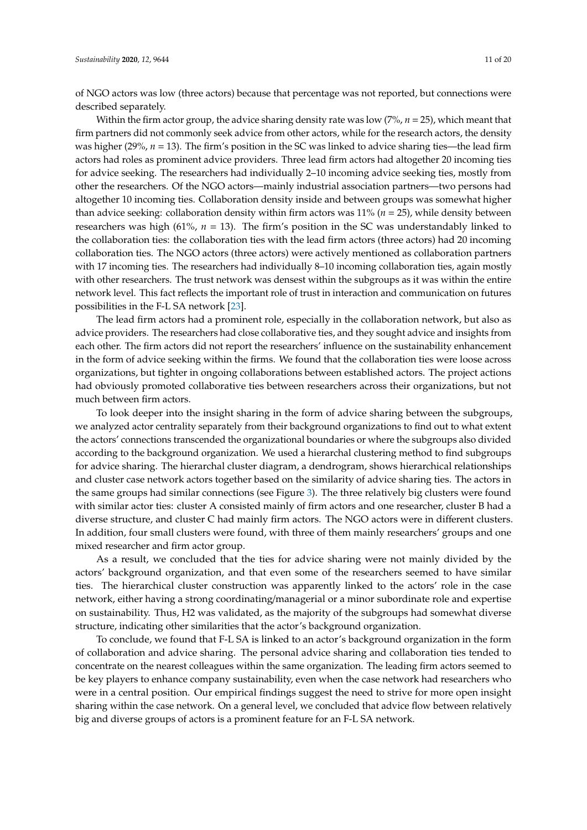of NGO actors was low (three actors) because that percentage was not reported, but connections were described separately.

Within the firm actor group, the advice sharing density rate was low (7%, *n* = 25), which meant that firm partners did not commonly seek advice from other actors, while for the research actors, the density was higher (29%, *n* = 13). The firm's position in the SC was linked to advice sharing ties—the lead firm actors had roles as prominent advice providers. Three lead firm actors had altogether 20 incoming ties for advice seeking. The researchers had individually 2–10 incoming advice seeking ties, mostly from other the researchers. Of the NGO actors—mainly industrial association partners—two persons had altogether 10 incoming ties. Collaboration density inside and between groups was somewhat higher than advice seeking: collaboration density within firm actors was 11% (*n* = 25), while density between researchers was high (61%, *n* = 13). The firm's position in the SC was understandably linked to the collaboration ties: the collaboration ties with the lead firm actors (three actors) had 20 incoming collaboration ties. The NGO actors (three actors) were actively mentioned as collaboration partners with 17 incoming ties. The researchers had individually 8–10 incoming collaboration ties, again mostly with other researchers. The trust network was densest within the subgroups as it was within the entire network level. This fact reflects the important role of trust in interaction and communication on futures possibilities in the F-L SA network [\[23\]](#page-17-3).

The lead firm actors had a prominent role, especially in the collaboration network, but also as advice providers. The researchers had close collaborative ties, and they sought advice and insights from each other. The firm actors did not report the researchers' influence on the sustainability enhancement in the form of advice seeking within the firms. We found that the collaboration ties were loose across organizations, but tighter in ongoing collaborations between established actors. The project actions had obviously promoted collaborative ties between researchers across their organizations, but not much between firm actors.

To look deeper into the insight sharing in the form of advice sharing between the subgroups, we analyzed actor centrality separately from their background organizations to find out to what extent the actors' connections transcended the organizational boundaries or where the subgroups also divided according to the background organization. We used a hierarchal clustering method to find subgroups for advice sharing. The hierarchal cluster diagram, a dendrogram, shows hierarchical relationships and cluster case network actors together based on the similarity of advice sharing ties. The actors in the same groups had similar connections (see Figure [3\)](#page-11-0). The three relatively big clusters were found with similar actor ties: cluster A consisted mainly of firm actors and one researcher, cluster B had a diverse structure, and cluster C had mainly firm actors. The NGO actors were in different clusters. In addition, four small clusters were found, with three of them mainly researchers' groups and one mixed researcher and firm actor group.

As a result, we concluded that the ties for advice sharing were not mainly divided by the actors' background organization, and that even some of the researchers seemed to have similar ties. The hierarchical cluster construction was apparently linked to the actors' role in the case network, either having a strong coordinating/managerial or a minor subordinate role and expertise on sustainability. Thus, H2 was validated, as the majority of the subgroups had somewhat diverse structure, indicating other similarities that the actor's background organization.

To conclude, we found that F-L SA is linked to an actor's background organization in the form of collaboration and advice sharing. The personal advice sharing and collaboration ties tended to concentrate on the nearest colleagues within the same organization. The leading firm actors seemed to be key players to enhance company sustainability, even when the case network had researchers who were in a central position. Our empirical findings suggest the need to strive for more open insight sharing within the case network. On a general level, we concluded that advice flow between relatively big and diverse groups of actors is a prominent feature for an F-L SA network.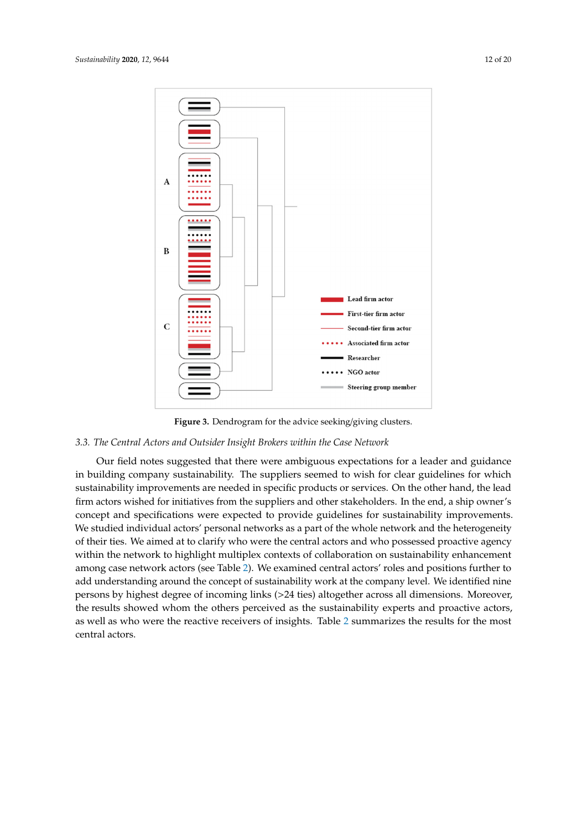<span id="page-11-0"></span>

**Figure 3.** Dendrogram for the advice seeking/giving clusters. **Figure 3.** Dendrogram for the advice seeking/giving clusters.

# <span id="page-11-1"></span>*3.3. The Central Actors and Outsider Insight Brokers within the Case Network 3.3. The Central Actors and Outsider Insight Brokers within the Case Network*

Our field notes suggested that there were ambiguous expectations for a leader and guidance in in building company sustainability. The suppliers seemed to wish for clear guidelines for which building company sustainability. The suppliers seemed to wish for clear guidelines for which sustainability improvements are needed in specific products or services. On the other hand, the lead services or services or services or the other hand, the lead firm actors wished for initiatives from the suppliers and other stakeholders. In the end, a ship owner's concept and specifications were expected to provide guidelines for sustainability improvements. concept and specifications were expected to provide guidelines for sustainability improvements. We We studied individual actors' personal networks as a part of the whole network and the heterogeneity of the whole network and the heterogeneity their ties. We aimed at to clarify who were the central actors and who possessed proactive agency within the network to highlight multiplex contexts of collaboration on sustainability enhancement with the network of collaboration on sustainability enhancement among case network actors (see Table 2). We examined central actors' roles and positions further to add understanding around the concept of sustainability work at the company level. We identified nine and the concept of sustainability work at the company level. We identified nine persons by highest degree of incoming links (>24 ties) altogether across all dimensions. Thore were the results showed whom the others perceived as the sustainability experts and proactive actors,<br> as well as who were the reactive receivers of insights. Table [2](#page-12-0) summarizes the results for the most central actors. Our field notes suggested that there were ambiguous expectations for a leader and guidance firm actors wished for initiatives from the suppliers and other stakeholders. In the end, a ship owner's of their ties. We aimed at to clarify who were the central actors and who possessed proactive agency among case network actors (see Table [2\)](#page-12-0). We examined central actors' roles and positions further to persons by highest degree of incoming links (>24 ties) altogether across all dimensions. Moreover,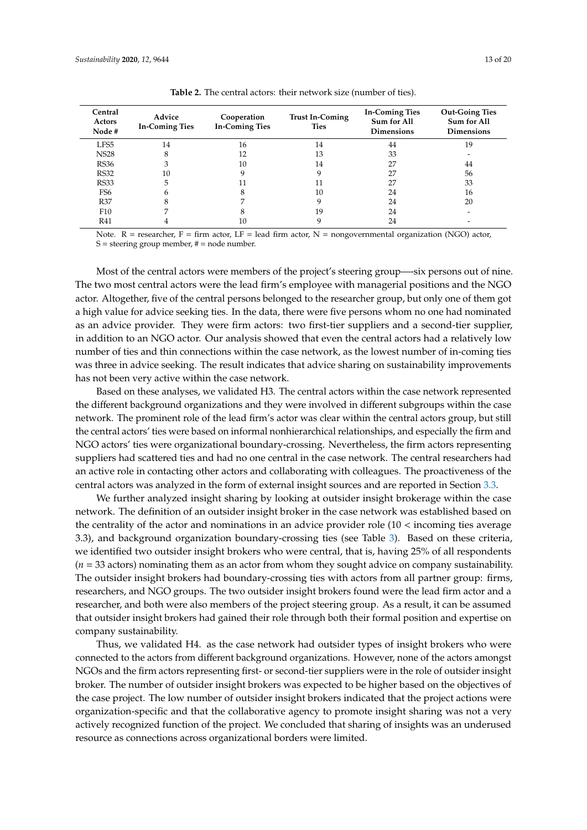<span id="page-12-0"></span>

| Central<br>Actors<br>Node # | Advice<br><b>In-Coming Ties</b> | Cooperation<br><b>In-Coming Ties</b> | <b>Trust In-Coming</b><br><b>Ties</b> | <b>In-Coming Ties</b><br>Sum for All<br><b>Dimensions</b> | <b>Out-Going Ties</b><br>Sum for All<br><b>Dimensions</b> |
|-----------------------------|---------------------------------|--------------------------------------|---------------------------------------|-----------------------------------------------------------|-----------------------------------------------------------|
| LFS5                        | 14                              | 16                                   | 14                                    | 44                                                        | 19                                                        |
| <b>NS28</b>                 | 8                               | 12                                   | 13                                    | 33                                                        |                                                           |
| <b>RS36</b>                 | 3                               | 10                                   | 14                                    | 27                                                        | 44                                                        |
| <b>RS32</b>                 | 10                              |                                      |                                       | 27                                                        | 56                                                        |
| <b>RS33</b>                 | 5                               | 11                                   | 11                                    | 27                                                        | 33                                                        |
| FS <sub>6</sub>             | h                               | 8                                    | 10                                    | 24                                                        | 16                                                        |
| R37                         |                                 |                                      |                                       | 24                                                        | 20                                                        |
| F <sub>10</sub>             |                                 |                                      | 19                                    | 24                                                        |                                                           |
| R41                         |                                 | 10                                   |                                       | 24                                                        |                                                           |
|                             |                                 |                                      |                                       |                                                           |                                                           |

**Table 2.** The central actors: their network size (number of ties).

Note.  $R =$  researcher,  $F =$  firm actor,  $LF =$  lead firm actor,  $N =$  nongovernmental organization (NGO) actor,  $S =$  steering group member,  $# =$  node number.

Most of the central actors were members of the project's steering group—-six persons out of nine. The two most central actors were the lead firm's employee with managerial positions and the NGO actor. Altogether, five of the central persons belonged to the researcher group, but only one of them got a high value for advice seeking ties. In the data, there were five persons whom no one had nominated as an advice provider. They were firm actors: two first-tier suppliers and a second-tier supplier, in addition to an NGO actor. Our analysis showed that even the central actors had a relatively low number of ties and thin connections within the case network, as the lowest number of in-coming ties was three in advice seeking. The result indicates that advice sharing on sustainability improvements has not been very active within the case network.

Based on these analyses, we validated H3. The central actors within the case network represented the different background organizations and they were involved in different subgroups within the case network. The prominent role of the lead firm's actor was clear within the central actors group, but still the central actors' ties were based on informal nonhierarchical relationships, and especially the firm and NGO actors' ties were organizational boundary-crossing. Nevertheless, the firm actors representing suppliers had scattered ties and had no one central in the case network. The central researchers had an active role in contacting other actors and collaborating with colleagues. The proactiveness of the central actors was analyzed in the form of external insight sources and are reported in Section [3.3.](#page-11-1)

We further analyzed insight sharing by looking at outsider insight brokerage within the case network. The definition of an outsider insight broker in the case network was established based on the centrality of the actor and nominations in an advice provider role  $(10 \lt i$  incoming ties average 3.3), and background organization boundary-crossing ties (see Table [3\)](#page-13-0). Based on these criteria, we identified two outsider insight brokers who were central, that is, having 25% of all respondents (*n* = 33 actors) nominating them as an actor from whom they sought advice on company sustainability. The outsider insight brokers had boundary-crossing ties with actors from all partner group: firms, researchers, and NGO groups. The two outsider insight brokers found were the lead firm actor and a researcher, and both were also members of the project steering group. As a result, it can be assumed that outsider insight brokers had gained their role through both their formal position and expertise on company sustainability.

Thus, we validated H4. as the case network had outsider types of insight brokers who were connected to the actors from different background organizations. However, none of the actors amongst NGOs and the firm actors representing first- or second-tier suppliers were in the role of outsider insight broker. The number of outsider insight brokers was expected to be higher based on the objectives of the case project. The low number of outsider insight brokers indicated that the project actions were organization-specific and that the collaborative agency to promote insight sharing was not a very actively recognized function of the project. We concluded that sharing of insights was an underused resource as connections across organizational borders were limited.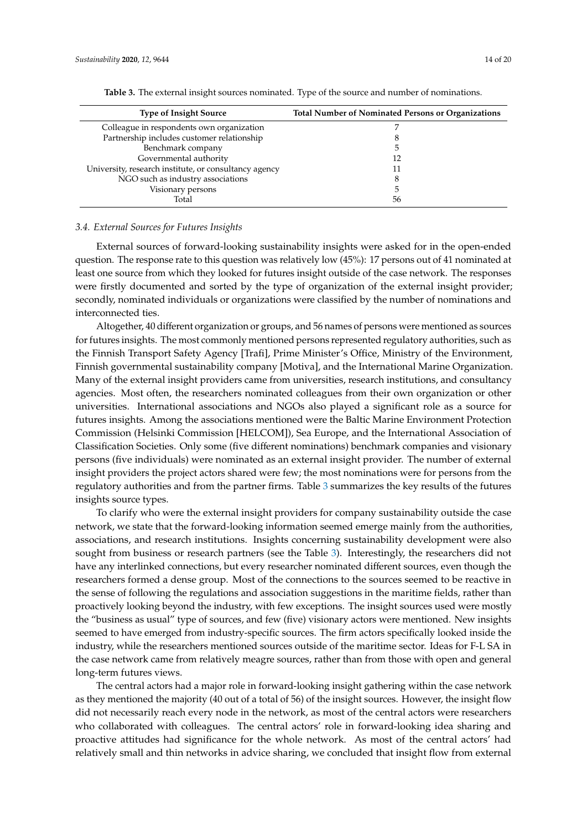<span id="page-13-0"></span>

| <b>Type of Insight Source</b>                         | <b>Total Number of Nominated Persons or Organizations</b> |
|-------------------------------------------------------|-----------------------------------------------------------|
| Colleague in respondents own organization             |                                                           |
| Partnership includes customer relationship            | Ο                                                         |
| Benchmark company                                     |                                                           |
| Governmental authority                                |                                                           |
| University, research institute, or consultancy agency |                                                           |
| NGO such as industry associations                     |                                                           |
| Visionary persons                                     |                                                           |
| Total                                                 | 56                                                        |

**Table 3.** The external insight sources nominated. Type of the source and number of nominations.

# *3.4. External Sources for Futures Insights*

External sources of forward-looking sustainability insights were asked for in the open-ended question. The response rate to this question was relatively low (45%): 17 persons out of 41 nominated at least one source from which they looked for futures insight outside of the case network. The responses were firstly documented and sorted by the type of organization of the external insight provider; secondly, nominated individuals or organizations were classified by the number of nominations and interconnected ties.

Altogether, 40 different organization or groups, and 56 names of persons were mentioned as sources for futures insights. The most commonly mentioned persons represented regulatory authorities, such as the Finnish Transport Safety Agency [Trafi], Prime Minister's Office, Ministry of the Environment, Finnish governmental sustainability company [Motiva], and the International Marine Organization. Many of the external insight providers came from universities, research institutions, and consultancy agencies. Most often, the researchers nominated colleagues from their own organization or other universities. International associations and NGOs also played a significant role as a source for futures insights. Among the associations mentioned were the Baltic Marine Environment Protection Commission (Helsinki Commission [HELCOM]), Sea Europe, and the International Association of Classification Societies. Only some (five different nominations) benchmark companies and visionary persons (five individuals) were nominated as an external insight provider. The number of external insight providers the project actors shared were few; the most nominations were for persons from the regulatory authorities and from the partner firms. Table [3](#page-13-0) summarizes the key results of the futures insights source types.

To clarify who were the external insight providers for company sustainability outside the case network, we state that the forward-looking information seemed emerge mainly from the authorities, associations, and research institutions. Insights concerning sustainability development were also sought from business or research partners (see the Table [3\)](#page-13-0). Interestingly, the researchers did not have any interlinked connections, but every researcher nominated different sources, even though the researchers formed a dense group. Most of the connections to the sources seemed to be reactive in the sense of following the regulations and association suggestions in the maritime fields, rather than proactively looking beyond the industry, with few exceptions. The insight sources used were mostly the "business as usual" type of sources, and few (five) visionary actors were mentioned. New insights seemed to have emerged from industry-specific sources. The firm actors specifically looked inside the industry, while the researchers mentioned sources outside of the maritime sector. Ideas for F-L SA in the case network came from relatively meagre sources, rather than from those with open and general long-term futures views.

The central actors had a major role in forward-looking insight gathering within the case network as they mentioned the majority (40 out of a total of 56) of the insight sources. However, the insight flow did not necessarily reach every node in the network, as most of the central actors were researchers who collaborated with colleagues. The central actors' role in forward-looking idea sharing and proactive attitudes had significance for the whole network. As most of the central actors' had relatively small and thin networks in advice sharing, we concluded that insight flow from external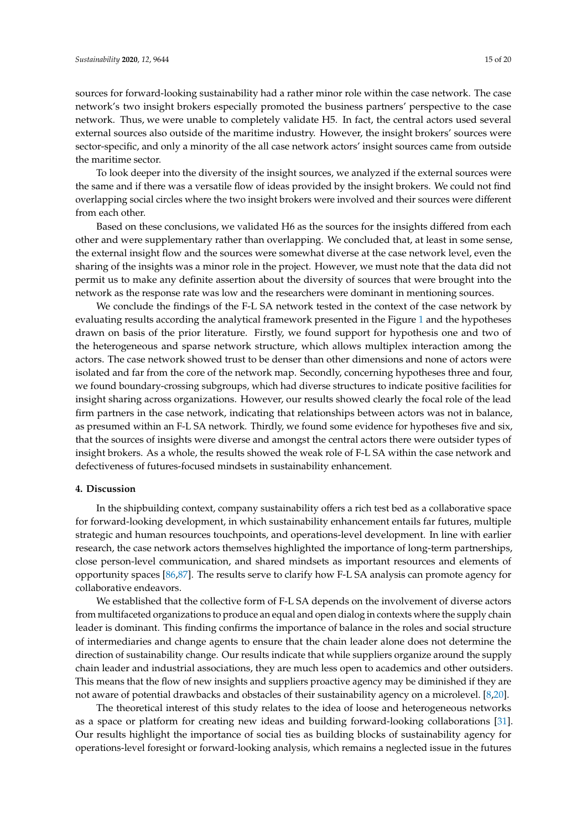sources for forward-looking sustainability had a rather minor role within the case network. The case network's two insight brokers especially promoted the business partners' perspective to the case network. Thus, we were unable to completely validate H5. In fact, the central actors used several external sources also outside of the maritime industry. However, the insight brokers' sources were sector-specific, and only a minority of the all case network actors' insight sources came from outside the maritime sector.

To look deeper into the diversity of the insight sources, we analyzed if the external sources were the same and if there was a versatile flow of ideas provided by the insight brokers. We could not find overlapping social circles where the two insight brokers were involved and their sources were different from each other.

Based on these conclusions, we validated H6 as the sources for the insights differed from each other and were supplementary rather than overlapping. We concluded that, at least in some sense, the external insight flow and the sources were somewhat diverse at the case network level, even the sharing of the insights was a minor role in the project. However, we must note that the data did not permit us to make any definite assertion about the diversity of sources that were brought into the network as the response rate was low and the researchers were dominant in mentioning sources.

We conclude the findings of the F-L SA network tested in the context of the case network by evaluating results according the analytical framework presented in the Figure [1](#page-4-0) and the hypotheses drawn on basis of the prior literature. Firstly, we found support for hypothesis one and two of the heterogeneous and sparse network structure, which allows multiplex interaction among the actors. The case network showed trust to be denser than other dimensions and none of actors were isolated and far from the core of the network map. Secondly, concerning hypotheses three and four, we found boundary-crossing subgroups, which had diverse structures to indicate positive facilities for insight sharing across organizations. However, our results showed clearly the focal role of the lead firm partners in the case network, indicating that relationships between actors was not in balance, as presumed within an F-L SA network. Thirdly, we found some evidence for hypotheses five and six, that the sources of insights were diverse and amongst the central actors there were outsider types of insight brokers. As a whole, the results showed the weak role of F-L SA within the case network and defectiveness of futures-focused mindsets in sustainability enhancement.

## **4. Discussion**

In the shipbuilding context, company sustainability offers a rich test bed as a collaborative space for forward-looking development, in which sustainability enhancement entails far futures, multiple strategic and human resources touchpoints, and operations-level development. In line with earlier research, the case network actors themselves highlighted the importance of long-term partnerships, close person-level communication, and shared mindsets as important resources and elements of opportunity spaces [\[86,](#page-19-11)[87\]](#page-19-12). The results serve to clarify how F-L SA analysis can promote agency for collaborative endeavors.

We established that the collective form of F-L SA depends on the involvement of diverse actors from multifaceted organizations to produce an equal and open dialog in contexts where the supply chain leader is dominant. This finding confirms the importance of balance in the roles and social structure of intermediaries and change agents to ensure that the chain leader alone does not determine the direction of sustainability change. Our results indicate that while suppliers organize around the supply chain leader and industrial associations, they are much less open to academics and other outsiders. This means that the flow of new insights and suppliers proactive agency may be diminished if they are not aware of potential drawbacks and obstacles of their sustainability agency on a microlevel. [\[8](#page-16-7)[,20\]](#page-17-0).

The theoretical interest of this study relates to the idea of loose and heterogeneous networks as a space or platform for creating new ideas and building forward-looking collaborations [\[31\]](#page-17-22). Our results highlight the importance of social ties as building blocks of sustainability agency for operations-level foresight or forward-looking analysis, which remains a neglected issue in the futures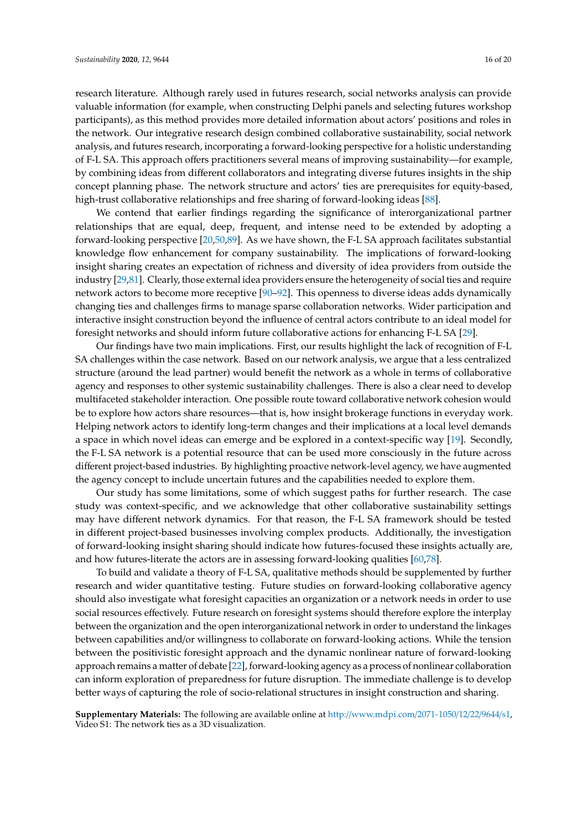research literature. Although rarely used in futures research, social networks analysis can provide valuable information (for example, when constructing Delphi panels and selecting futures workshop participants), as this method provides more detailed information about actors' positions and roles in the network. Our integrative research design combined collaborative sustainability, social network analysis, and futures research, incorporating a forward-looking perspective for a holistic understanding of F-L SA. This approach offers practitioners several means of improving sustainability—for example, by combining ideas from different collaborators and integrating diverse futures insights in the ship concept planning phase. The network structure and actors' ties are prerequisites for equity-based, high-trust collaborative relationships and free sharing of forward-looking ideas [\[88\]](#page-19-13).

We contend that earlier findings regarding the significance of interorganizational partner relationships that are equal, deep, frequent, and intense need to be extended by adopting a forward-looking perspective [\[20,](#page-17-0)[50,](#page-18-4)[89\]](#page-19-14). As we have shown, the F-L SA approach facilitates substantial knowledge flow enhancement for company sustainability. The implications of forward-looking insight sharing creates an expectation of richness and diversity of idea providers from outside the industry [\[29](#page-17-9)[,81\]](#page-19-6). Clearly, those external idea providers ensure the heterogeneity of social ties and require network actors to become more receptive [\[90](#page-19-15)[–92\]](#page-19-16). This openness to diverse ideas adds dynamically changing ties and challenges firms to manage sparse collaboration networks. Wider participation and interactive insight construction beyond the influence of central actors contribute to an ideal model for foresight networks and should inform future collaborative actions for enhancing F-L SA [\[29\]](#page-17-9).

Our findings have two main implications. First, our results highlight the lack of recognition of F-L SA challenges within the case network. Based on our network analysis, we argue that a less centralized structure (around the lead partner) would benefit the network as a whole in terms of collaborative agency and responses to other systemic sustainability challenges. There is also a clear need to develop multifaceted stakeholder interaction. One possible route toward collaborative network cohesion would be to explore how actors share resources—that is, how insight brokerage functions in everyday work. Helping network actors to identify long-term changes and their implications at a local level demands a space in which novel ideas can emerge and be explored in a context-specific way [\[19\]](#page-16-16). Secondly, the F-L SA network is a potential resource that can be used more consciously in the future across different project-based industries. By highlighting proactive network-level agency, we have augmented the agency concept to include uncertain futures and the capabilities needed to explore them.

Our study has some limitations, some of which suggest paths for further research. The case study was context-specific, and we acknowledge that other collaborative sustainability settings may have different network dynamics. For that reason, the F-L SA framework should be tested in different project-based businesses involving complex products. Additionally, the investigation of forward-looking insight sharing should indicate how futures-focused these insights actually are, and how futures-literate the actors are in assessing forward-looking qualities [\[60](#page-18-13)[,78\]](#page-19-3).

To build and validate a theory of F-L SA, qualitative methods should be supplemented by further research and wider quantitative testing. Future studies on forward-looking collaborative agency should also investigate what foresight capacities an organization or a network needs in order to use social resources effectively. Future research on foresight systems should therefore explore the interplay between the organization and the open interorganizational network in order to understand the linkages between capabilities and/or willingness to collaborate on forward-looking actions. While the tension between the positivistic foresight approach and the dynamic nonlinear nature of forward-looking approach remains a matter of debate [\[22\]](#page-17-2), forward-looking agency as a process of nonlinear collaboration can inform exploration of preparedness for future disruption. The immediate challenge is to develop better ways of capturing the role of socio-relational structures in insight construction and sharing.

**Supplementary Materials:** The following are available online at http://[www.mdpi.com](http://www.mdpi.com/2071-1050/12/22/9644/s1)/2071-1050/12/22/9644/s1, Video S1: The network ties as a 3D visualization.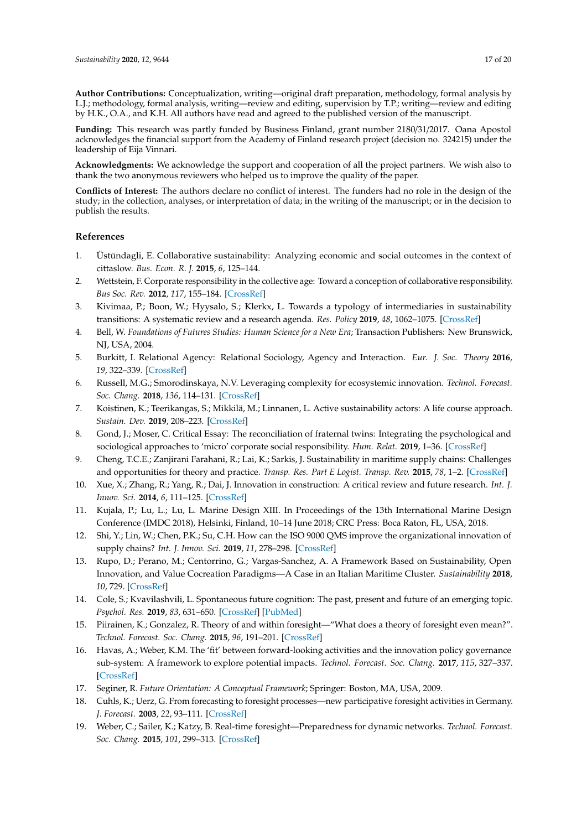**Author Contributions:** Conceptualization, writing—original draft preparation, methodology, formal analysis by L.J.; methodology, formal analysis, writing—review and editing, supervision by T.P.; writing—review and editing by H.K., O.A., and K.H. All authors have read and agreed to the published version of the manuscript.

**Funding:** This research was partly funded by Business Finland, grant number 2180/31/2017. Oana Apostol acknowledges the financial support from the Academy of Finland research project (decision no. 324215) under the leadership of Eija Vinnari.

**Acknowledgments:** We acknowledge the support and cooperation of all the project partners. We wish also to thank the two anonymous reviewers who helped us to improve the quality of the paper.

**Conflicts of Interest:** The authors declare no conflict of interest. The funders had no role in the design of the study; in the collection, analyses, or interpretation of data; in the writing of the manuscript; or in the decision to publish the results.

## **References**

- <span id="page-16-0"></span>1. Üstündagli, E. Collaborative sustainability: Analyzing economic and social outcomes in the context of cittaslow. *Bus. Econ. R. J.* **2015**, *6*, 125–144.
- <span id="page-16-1"></span>2. Wettstein, F. Corporate responsibility in the collective age: Toward a conception of collaborative responsibility. *Bus Soc. Rev.* **2012**, *117*, 155–184. [\[CrossRef\]](http://dx.doi.org/10.1111/j.1467-8594.2012.00403.x)
- <span id="page-16-2"></span>3. Kivimaa, P.; Boon, W.; Hyysalo, S.; Klerkx, L. Towards a typology of intermediaries in sustainability transitions: A systematic review and a research agenda. *Res. Policy* **2019**, *48*, 1062–1075. [\[CrossRef\]](http://dx.doi.org/10.1016/j.respol.2018.10.006)
- <span id="page-16-3"></span>4. Bell, W. *Foundations of Futures Studies: Human Science for a New Era*; Transaction Publishers: New Brunswick, NJ, USA, 2004.
- <span id="page-16-4"></span>5. Burkitt, I. Relational Agency: Relational Sociology, Agency and Interaction. *Eur. J. Soc. Theory* **2016**, *19*, 322–339. [\[CrossRef\]](http://dx.doi.org/10.1177/1368431015591426)
- <span id="page-16-5"></span>6. Russell, M.G.; Smorodinskaya, N.V. Leveraging complexity for ecosystemic innovation. *Technol. Forecast. Soc. Chang.* **2018**, *136*, 114–131. [\[CrossRef\]](http://dx.doi.org/10.1016/j.techfore.2017.11.024)
- <span id="page-16-6"></span>7. Koistinen, K.; Teerikangas, S.; Mikkilä, M.; Linnanen, L. Active sustainability actors: A life course approach. *Sustain. Dev.* **2019**, 208–223. [\[CrossRef\]](http://dx.doi.org/10.1002/sd.1989)
- <span id="page-16-7"></span>8. Gond, J.; Moser, C. Critical Essay: The reconciliation of fraternal twins: Integrating the psychological and sociological approaches to 'micro' corporate social responsibility. *Hum. Relat.* **2019**, 1–36. [\[CrossRef\]](http://dx.doi.org/10.1177/0018726719864407)
- <span id="page-16-8"></span>9. Cheng, T.C.E.; Zanjirani Farahani, R.; Lai, K.; Sarkis, J. Sustainability in maritime supply chains: Challenges and opportunities for theory and practice. *Transp. Res. Part E Logist. Transp. Rev.* **2015**, *78*, 1–2. [\[CrossRef\]](http://dx.doi.org/10.1016/j.tre.2015.03.007)
- <span id="page-16-9"></span>10. Xue, X.; Zhang, R.; Yang, R.; Dai, J. Innovation in construction: A critical review and future research. *Int. J. Innov. Sci.* **2014**, *6*, 111–125. [\[CrossRef\]](http://dx.doi.org/10.1260/1757-2223.6.2.111)
- 11. Kujala, P.; Lu, L.; Lu, L. Marine Design XIII. In Proceedings of the 13th International Marine Design Conference (IMDC 2018), Helsinki, Finland, 10–14 June 2018; CRC Press: Boca Raton, FL, USA, 2018.
- <span id="page-16-10"></span>12. Shi, Y.; Lin, W.; Chen, P.K.; Su, C.H. How can the ISO 9000 QMS improve the organizational innovation of supply chains? *Int. J. Innov. Sci.* **2019**, *11*, 278–298. [\[CrossRef\]](http://dx.doi.org/10.1108/IJIS-02-2018-0009)
- <span id="page-16-11"></span>13. Rupo, D.; Perano, M.; Centorrino, G.; Vargas-Sanchez, A. A Framework Based on Sustainability, Open Innovation, and Value Cocreation Paradigms—A Case in an Italian Maritime Cluster. *Sustainability* **2018**, *10*, 729. [\[CrossRef\]](http://dx.doi.org/10.3390/su10030729)
- <span id="page-16-12"></span>14. Cole, S.; Kvavilashvili, L. Spontaneous future cognition: The past, present and future of an emerging topic. *Psychol. Res.* **2019**, *83*, 631–650. [\[CrossRef\]](http://dx.doi.org/10.1007/s00426-019-01193-3) [\[PubMed\]](http://www.ncbi.nlm.nih.gov/pubmed/31079226)
- <span id="page-16-13"></span>15. Piirainen, K.; Gonzalez, R. Theory of and within foresight—"What does a theory of foresight even mean?". *Technol. Forecast. Soc. Chang.* **2015**, *96*, 191–201. [\[CrossRef\]](http://dx.doi.org/10.1016/j.techfore.2015.03.003)
- <span id="page-16-14"></span>16. Havas, A.; Weber, K.M. The 'fit' between forward-looking activities and the innovation policy governance sub-system: A framework to explore potential impacts. *Technol. Forecast. Soc. Chang.* **2017**, *115*, 327–337. [\[CrossRef\]](http://dx.doi.org/10.1016/j.techfore.2016.07.016)
- <span id="page-16-15"></span>17. Seginer, R. *Future Orientation: A Conceptual Framework*; Springer: Boston, MA, USA, 2009.
- 18. Cuhls, K.; Uerz, G. From forecasting to foresight processes—new participative foresight activities in Germany. *J. Forecast.* **2003**, *22*, 93–111. [\[CrossRef\]](http://dx.doi.org/10.1002/for.848)
- <span id="page-16-16"></span>19. Weber, C.; Sailer, K.; Katzy, B. Real-time foresight—Preparedness for dynamic networks. *Technol. Forecast. Soc. Chang.* **2015**, *101*, 299–313. [\[CrossRef\]](http://dx.doi.org/10.1016/j.techfore.2015.05.016)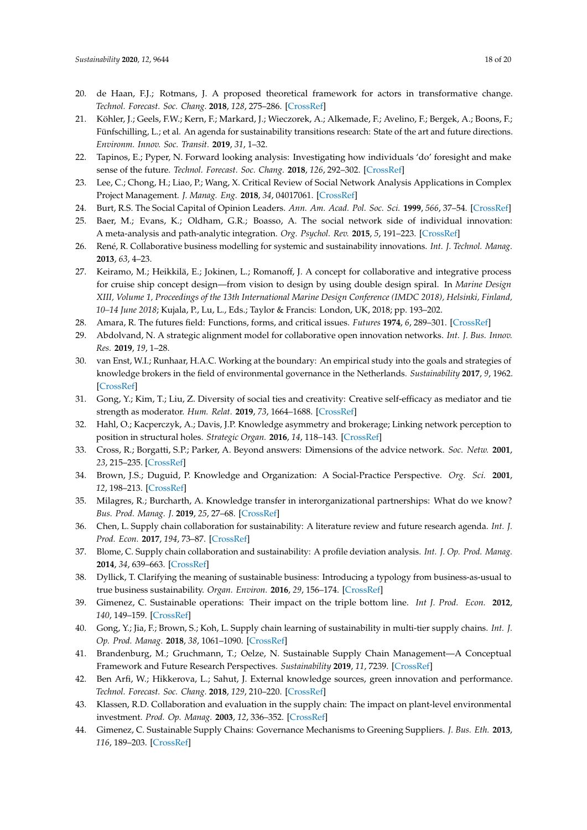- <span id="page-17-0"></span>20. de Haan, F.J.; Rotmans, J. A proposed theoretical framework for actors in transformative change. *Technol. Forecast. Soc. Chang.* **2018**, *128*, 275–286. [\[CrossRef\]](http://dx.doi.org/10.1016/j.techfore.2017.12.017)
- <span id="page-17-1"></span>21. Köhler, J.; Geels, F.W.; Kern, F.; Markard, J.; Wieczorek, A.; Alkemade, F.; Avelino, F.; Bergek, A.; Boons, F.; Fünfschilling, L.; et al. An agenda for sustainability transitions research: State of the art and future directions. *Environm. Innov. Soc. Transit.* **2019**, *31*, 1–32.
- <span id="page-17-2"></span>22. Tapinos, E.; Pyper, N. Forward looking analysis: Investigating how individuals 'do' foresight and make sense of the future. *Technol. Forecast. Soc. Chang.* **2018**, *126*, 292–302. [\[CrossRef\]](http://dx.doi.org/10.1016/j.techfore.2017.04.025)
- <span id="page-17-3"></span>23. Lee, C.; Chong, H.; Liao, P.; Wang, X. Critical Review of Social Network Analysis Applications in Complex Project Management. *J. Manag. Eng.* **2018**, *34*, 04017061. [\[CrossRef\]](http://dx.doi.org/10.1061/(ASCE)ME.1943-5479.0000579)
- <span id="page-17-4"></span>24. Burt, R.S. The Social Capital of Opinion Leaders. *Ann. Am. Acad. Pol. Soc. Sci.* **1999**, *566*, 37–54. [\[CrossRef\]](http://dx.doi.org/10.1177/000271629956600104)
- <span id="page-17-5"></span>25. Baer, M.; Evans, K.; Oldham, G.R.; Boasso, A. The social network side of individual innovation: A meta-analysis and path-analytic integration. *Org. Psychol. Rev.* **2015**, *5*, 191–223. [\[CrossRef\]](http://dx.doi.org/10.1177/2041386614564105)
- <span id="page-17-6"></span>26. René, R. Collaborative business modelling for systemic and sustainability innovations. *Int. J. Technol. Manag.* **2013**, *63*, 4–23.
- <span id="page-17-7"></span>27. Keiramo, M.; Heikkilä, E.; Jokinen, L.; Romanoff, J. A concept for collaborative and integrative process for cruise ship concept design—from vision to design by using double design spiral. In *Marine Design XIII, Volume 1, Proceedings of the 13th International Marine Design Conference (IMDC 2018), Helsinki, Finland, 10–14 June 2018*; Kujala, P., Lu, L., Eds.; Taylor & Francis: London, UK, 2018; pp. 193–202.
- <span id="page-17-9"></span><span id="page-17-8"></span>28. Amara, R. The futures field: Functions, forms, and critical issues. *Futures* **1974**, *6*, 289–301. [\[CrossRef\]](http://dx.doi.org/10.1016/0016-3287(74)90072-X)
- 29. Abdolvand, N. A strategic alignment model for collaborative open innovation networks. *Int. J. Bus. Innov. Res.* **2019**, *19*, 1–28.
- <span id="page-17-10"></span>30. van Enst, W.I.; Runhaar, H.A.C. Working at the boundary: An empirical study into the goals and strategies of knowledge brokers in the field of environmental governance in the Netherlands. *Sustainability* **2017**, *9*, 1962. [\[CrossRef\]](http://dx.doi.org/10.3390/su9111962)
- <span id="page-17-22"></span>31. Gong, Y.; Kim, T.; Liu, Z. Diversity of social ties and creativity: Creative self-efficacy as mediator and tie strength as moderator. *Hum. Relat.* **2019**, *73*, 1664–1688. [\[CrossRef\]](http://dx.doi.org/10.1177/0018726719866001)
- <span id="page-17-11"></span>32. Hahl, O.; Kacperczyk, A.; Davis, J.P. Knowledge asymmetry and brokerage; Linking network perception to position in structural holes. *Strategic Organ.* **2016**, *14*, 118–143. [\[CrossRef\]](http://dx.doi.org/10.1177/1476127015624274)
- <span id="page-17-12"></span>33. Cross, R.; Borgatti, S.P.; Parker, A. Beyond answers: Dimensions of the advice network. *Soc. Netw.* **2001**, *23*, 215–235. [\[CrossRef\]](http://dx.doi.org/10.1016/S0378-8733(01)00041-7)
- <span id="page-17-23"></span>34. Brown, J.S.; Duguid, P. Knowledge and Organization: A Social-Practice Perspective. *Org. Sci.* **2001**, *12*, 198–213. [\[CrossRef\]](http://dx.doi.org/10.1287/orsc.12.2.198.10116)
- <span id="page-17-13"></span>35. Milagres, R.; Burcharth, A. Knowledge transfer in interorganizational partnerships: What do we know? *Bus. Prod. Manag. J.* **2019**, *25*, 27–68. [\[CrossRef\]](http://dx.doi.org/10.1108/BPMJ-06-2017-0175)
- <span id="page-17-14"></span>36. Chen, L. Supply chain collaboration for sustainability: A literature review and future research agenda. *Int. J. Prod. Econ.* **2017**, *194*, 73–87. [\[CrossRef\]](http://dx.doi.org/10.1016/j.ijpe.2017.04.005)
- <span id="page-17-15"></span>37. Blome, C. Supply chain collaboration and sustainability: A profile deviation analysis. *Int. J. Op. Prod. Manag.* **2014**, *34*, 639–663. [\[CrossRef\]](http://dx.doi.org/10.1108/IJOPM-11-2012-0515)
- <span id="page-17-16"></span>38. Dyllick, T. Clarifying the meaning of sustainable business: Introducing a typology from business-as-usual to true business sustainability. *Organ. Environ.* **2016**, *29*, 156–174. [\[CrossRef\]](http://dx.doi.org/10.1177/1086026615575176)
- <span id="page-17-17"></span>39. Gimenez, C. Sustainable operations: Their impact on the triple bottom line. *Int J. Prod. Econ.* **2012**, *140*, 149–159. [\[CrossRef\]](http://dx.doi.org/10.1016/j.ijpe.2012.01.035)
- <span id="page-17-18"></span>40. Gong, Y.; Jia, F.; Brown, S.; Koh, L. Supply chain learning of sustainability in multi-tier supply chains. *Int. J. Op. Prod. Manag.* **2018**, *38*, 1061–1090. [\[CrossRef\]](http://dx.doi.org/10.1108/IJOPM-05-2017-0306)
- 41. Brandenburg, M.; Gruchmann, T.; Oelze, N. Sustainable Supply Chain Management—A Conceptual Framework and Future Research Perspectives. *Sustainability* **2019**, *11*, 7239. [\[CrossRef\]](http://dx.doi.org/10.3390/su11247239)
- <span id="page-17-19"></span>42. Ben Arfi, W.; Hikkerova, L.; Sahut, J. External knowledge sources, green innovation and performance. *Technol. Forecast. Soc. Chang.* **2018**, *129*, 210–220. [\[CrossRef\]](http://dx.doi.org/10.1016/j.techfore.2017.09.017)
- <span id="page-17-20"></span>43. Klassen, R.D. Collaboration and evaluation in the supply chain: The impact on plant-level environmental investment. *Prod. Op. Manag.* **2003**, *12*, 336–352. [\[CrossRef\]](http://dx.doi.org/10.1111/j.1937-5956.2003.tb00207.x)
- <span id="page-17-21"></span>44. Gimenez, C. Sustainable Supply Chains: Governance Mechanisms to Greening Suppliers. *J. Bus. Eth.* **2013**, *116*, 189–203. [\[CrossRef\]](http://dx.doi.org/10.1007/s10551-012-1458-4)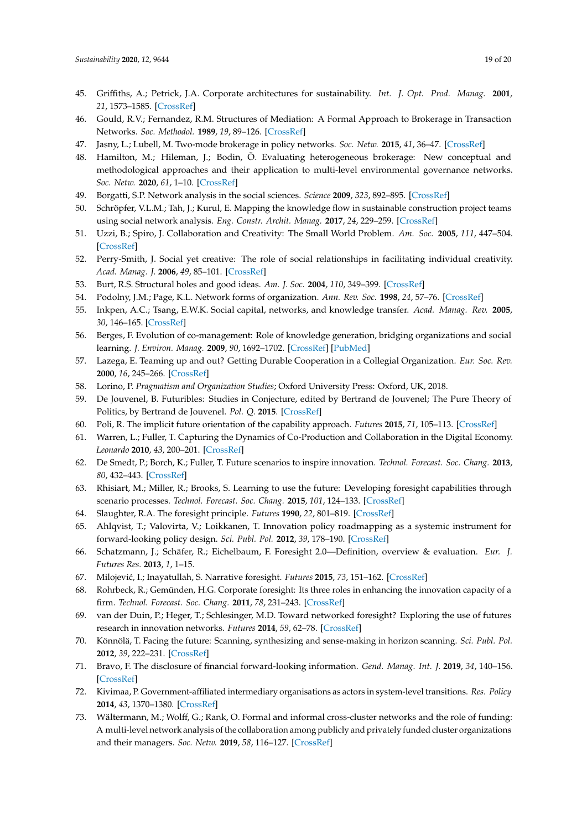- <span id="page-18-0"></span>45. Griffiths, A.; Petrick, J.A. Corporate architectures for sustainability. *Int. J. Opt. Prod. Manag.* **2001**, *21*, 1573–1585. [\[CrossRef\]](http://dx.doi.org/10.1108/01443570110410919)
- <span id="page-18-1"></span>46. Gould, R.V.; Fernandez, R.M. Structures of Mediation: A Formal Approach to Brokerage in Transaction Networks. *Soc. Methodol.* **1989**, *19*, 89–126. [\[CrossRef\]](http://dx.doi.org/10.2307/270949)
- <span id="page-18-28"></span>47. Jasny, L.; Lubell, M. Two-mode brokerage in policy networks. *Soc. Netw.* **2015**, *41*, 36–47. [\[CrossRef\]](http://dx.doi.org/10.1016/j.socnet.2014.11.005)
- <span id="page-18-2"></span>48. Hamilton, M.; Hileman, J.; Bodin, Ö. Evaluating heterogeneous brokerage: New conceptual and methodological approaches and their application to multi-level environmental governance networks. *Soc. Netw.* **2020**, *61*, 1–10. [\[CrossRef\]](http://dx.doi.org/10.1016/j.socnet.2019.08.002)
- <span id="page-18-3"></span>49. Borgatti, S.P. Network analysis in the social sciences. *Science* **2009**, *323*, 892–895. [\[CrossRef\]](http://dx.doi.org/10.1126/science.1165821)
- <span id="page-18-4"></span>50. Schröpfer, V.L.M.; Tah, J.; Kurul, E. Mapping the knowledge flow in sustainable construction project teams using social network analysis. *Eng. Constr. Archit. Manag.* **2017**, *24*, 229–259. [\[CrossRef\]](http://dx.doi.org/10.1108/ECAM-08-2015-0124)
- <span id="page-18-5"></span>51. Uzzi, B.; Spiro, J. Collaboration and Creativity: The Small World Problem. *Am. Soc.* **2005**, *111*, 447–504. [\[CrossRef\]](http://dx.doi.org/10.1086/432782)
- <span id="page-18-6"></span>52. Perry-Smith, J. Social yet creative: The role of social relationships in facilitating individual creativity. *Acad. Manag. J.* **2006**, *49*, 85–101. [\[CrossRef\]](http://dx.doi.org/10.5465/amj.2006.20785503)
- <span id="page-18-7"></span>53. Burt, R.S. Structural holes and good ideas. *Am. J. Soc.* **2004**, *110*, 349–399. [\[CrossRef\]](http://dx.doi.org/10.1086/421787)
- <span id="page-18-8"></span>54. Podolny, J.M.; Page, K.L. Network forms of organization. *Ann. Rev. Soc.* **1998**, *24*, 57–76. [\[CrossRef\]](http://dx.doi.org/10.1146/annurev.soc.24.1.57)
- <span id="page-18-9"></span>55. Inkpen, A.C.; Tsang, E.W.K. Social capital, networks, and knowledge transfer. *Acad. Manag. Rev.* **2005**, *30*, 146–165. [\[CrossRef\]](http://dx.doi.org/10.5465/amr.2005.15281445)
- <span id="page-18-10"></span>56. Berges, F. Evolution of co-management: Role of knowledge generation, bridging organizations and social learning. *J. Environ. Manag.* **2009**, *90*, 1692–1702. [\[CrossRef\]](http://dx.doi.org/10.1016/j.jenvman.2008.12.001) [\[PubMed\]](http://www.ncbi.nlm.nih.gov/pubmed/19110363)
- <span id="page-18-27"></span>57. Lazega, E. Teaming up and out? Getting Durable Cooperation in a Collegial Organization. *Eur. Soc. Rev.* **2000**, *16*, 245–266. [\[CrossRef\]](http://dx.doi.org/10.1093/esr/16.3.245)
- <span id="page-18-11"></span>58. Lorino, P. *Pragmatism and Organization Studies*; Oxford University Press: Oxford, UK, 2018.
- <span id="page-18-12"></span>59. De Jouvenel, B. Futuribles: Studies in Conjecture, edited by Bertrand de Jouvenel; The Pure Theory of Politics, by Bertrand de Jouvenel. *Pol. Q.* **2015**. [\[CrossRef\]](http://dx.doi.org/10.1111/1467-923X.02404_13)
- <span id="page-18-13"></span>60. Poli, R. The implicit future orientation of the capability approach. *Futures* **2015**, *71*, 105–113. [\[CrossRef\]](http://dx.doi.org/10.1016/j.futures.2015.03.002)
- <span id="page-18-14"></span>61. Warren, L.; Fuller, T. Capturing the Dynamics of Co-Production and Collaboration in the Digital Economy. *Leonardo* **2010**, *43*, 200–201. [\[CrossRef\]](http://dx.doi.org/10.1162/leon.2010.43.2.200)
- <span id="page-18-19"></span>62. De Smedt, P.; Borch, K.; Fuller, T. Future scenarios to inspire innovation. *Technol. Forecast. Soc. Chang.* **2013**, *80*, 432–443. [\[CrossRef\]](http://dx.doi.org/10.1016/j.techfore.2012.10.006)
- <span id="page-18-15"></span>63. Rhisiart, M.; Miller, R.; Brooks, S. Learning to use the future: Developing foresight capabilities through scenario processes. *Technol. Forecast. Soc. Chang.* **2015**, *101*, 124–133. [\[CrossRef\]](http://dx.doi.org/10.1016/j.techfore.2014.10.015)
- <span id="page-18-16"></span>64. Slaughter, R.A. The foresight principle. *Futures* **1990**, *22*, 801–819. [\[CrossRef\]](http://dx.doi.org/10.1016/0016-3287(90)90017-C)
- <span id="page-18-17"></span>65. Ahlqvist, T.; Valovirta, V.; Loikkanen, T. Innovation policy roadmapping as a systemic instrument for forward-looking policy design. *Sci. Publ. Pol.* **2012**, *39*, 178–190. [\[CrossRef\]](http://dx.doi.org/10.1093/scipol/scs016)
- <span id="page-18-18"></span>66. Schatzmann, J.; Schäfer, R.; Eichelbaum, F. Foresight 2.0—Definition, overview & evaluation. *Eur. J. Futures Res.* **2013**, *1*, 1–15.
- <span id="page-18-20"></span>67. Milojevi´c, I.; Inayatullah, S. Narrative foresight. *Futures* **2015**, *73*, 151–162. [\[CrossRef\]](http://dx.doi.org/10.1016/j.futures.2015.08.007)
- <span id="page-18-21"></span>68. Rohrbeck, R.; Gemünden, H.G. Corporate foresight: Its three roles in enhancing the innovation capacity of a firm. *Technol. Forecast. Soc. Chang.* **2011**, *78*, 231–243. [\[CrossRef\]](http://dx.doi.org/10.1016/j.techfore.2010.06.019)
- <span id="page-18-22"></span>69. van der Duin, P.; Heger, T.; Schlesinger, M.D. Toward networked foresight? Exploring the use of futures research in innovation networks. *Futures* **2014**, *59*, 62–78. [\[CrossRef\]](http://dx.doi.org/10.1016/j.futures.2014.01.008)
- <span id="page-18-23"></span>70. Könnölä, T. Facing the future: Scanning, synthesizing and sense-making in horizon scanning. *Sci. Publ. Pol.* **2012**, *39*, 222–231. [\[CrossRef\]](http://dx.doi.org/10.1093/scipol/scs021)
- <span id="page-18-24"></span>71. Bravo, F. The disclosure of financial forward-looking information. *Gend. Manag. Int. J.* **2019**, *34*, 140–156. [\[CrossRef\]](http://dx.doi.org/10.1108/GM-09-2018-0120)
- <span id="page-18-25"></span>72. Kivimaa, P. Government-affiliated intermediary organisations as actors in system-level transitions. *Res. Policy* **2014**, *43*, 1370–1380. [\[CrossRef\]](http://dx.doi.org/10.1016/j.respol.2014.02.007)
- <span id="page-18-26"></span>73. Wältermann, M.; Wolff, G.; Rank, O. Formal and informal cross-cluster networks and the role of funding: A multi-level network analysis of the collaboration among publicly and privately funded cluster organizations and their managers. *Soc. Netw.* **2019**, *58*, 116–127. [\[CrossRef\]](http://dx.doi.org/10.1016/j.socnet.2019.03.003)